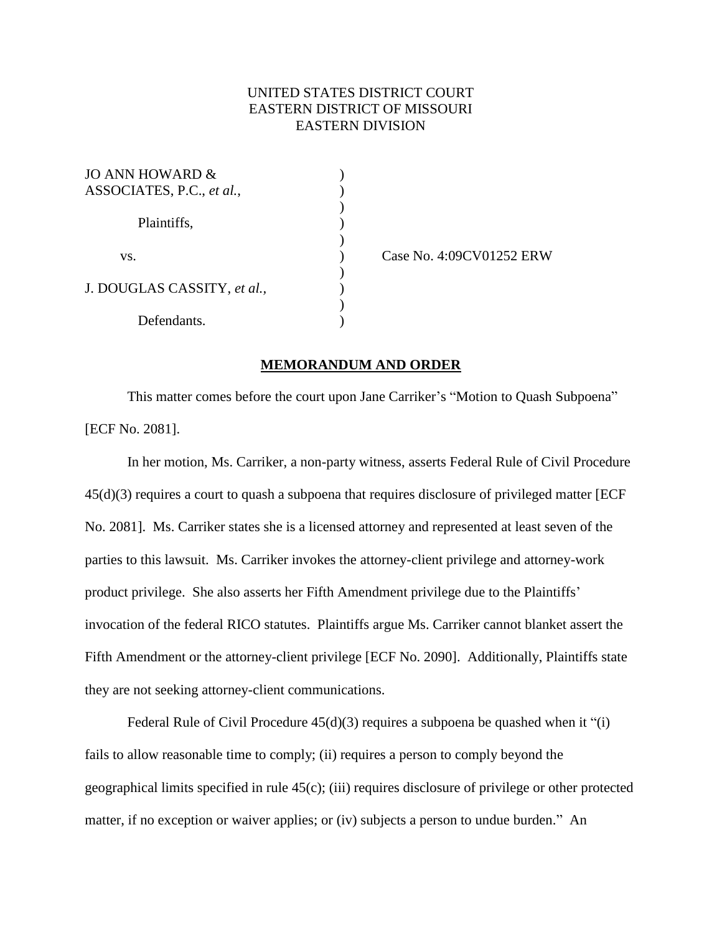## UNITED STATES DISTRICT COURT EASTERN DISTRICT OF MISSOURI EASTERN DIVISION

)

)

)

| JO ANN HOWARD &<br>ASSOCIATES, P.C., et al., |  |
|----------------------------------------------|--|
| Plaintiffs,                                  |  |
| VS.                                          |  |
| J. DOUGLAS CASSITY, et al.,                  |  |
| Defendants.                                  |  |

) Case No. 4:09CV01252 ERW

## **MEMORANDUM AND ORDER**

This matter comes before the court upon Jane Carriker's "Motion to Quash Subpoena" [ECF No. 2081].

In her motion, Ms. Carriker, a non-party witness, asserts Federal Rule of Civil Procedure 45(d)(3) requires a court to quash a subpoena that requires disclosure of privileged matter [ECF No. 2081]. Ms. Carriker states she is a licensed attorney and represented at least seven of the parties to this lawsuit. Ms. Carriker invokes the attorney-client privilege and attorney-work product privilege. She also asserts her Fifth Amendment privilege due to the Plaintiffs' invocation of the federal RICO statutes. Plaintiffs argue Ms. Carriker cannot blanket assert the Fifth Amendment or the attorney-client privilege [ECF No. 2090]. Additionally, Plaintiffs state they are not seeking attorney-client communications.

Federal Rule of Civil Procedure 45(d)(3) requires a subpoena be quashed when it "(i) fails to allow reasonable time to comply; (ii) requires a person to comply beyond the geographical limits specified in rule 45(c); (iii) requires disclosure of privilege or other protected matter, if no exception or waiver applies; or (iv) subjects a person to undue burden." An